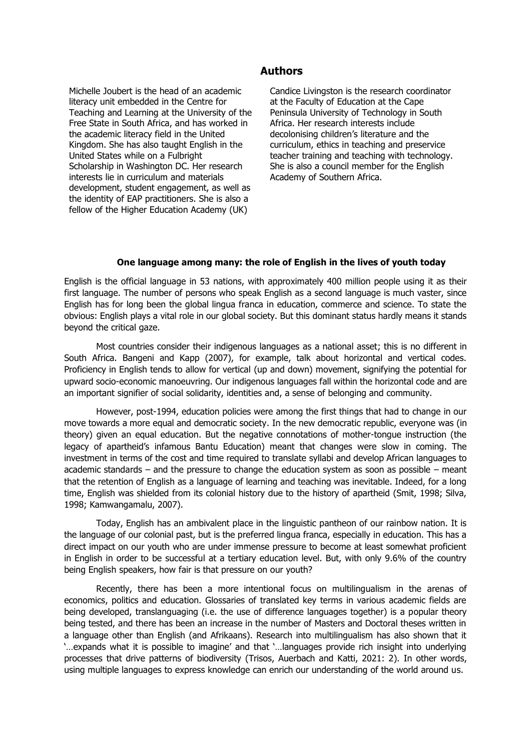## **Authors**

Michelle Joubert is the head of an academic literacy unit embedded in the Centre for Teaching and Learning at the University of the Free State in South Africa, and has worked in the academic literacy field in the United Kingdom. She has also taught English in the United States while on a Fulbright Scholarship in Washington DC. Her research interests lie in curriculum and materials development, student engagement, as well as the identity of EAP practitioners. She is also a fellow of the Higher Education Academy (UK)

Candice Livingston is the research coordinator at the Faculty of Education at the Cape Peninsula University of Technology in South Africa. Her research interests include decolonising children's literature and the curriculum, ethics in teaching and preservice teacher training and teaching with technology. She is also a council member for the English Academy of Southern Africa.

## **One language among many: the role of English in the lives of youth today**

English is the official language in 53 nations, with approximately 400 million people using it as their first language. The number of persons who speak English as a second language is much vaster, since English has for long been the global lingua franca in education, commerce and science. To state the obvious: English plays a vital role in our global society. But this dominant status hardly means it stands beyond the critical gaze.

Most countries consider their indigenous languages as a national asset; this is no different in South Africa. Bangeni and Kapp (2007), for example, talk about horizontal and vertical codes. Proficiency in English tends to allow for vertical (up and down) movement, signifying the potential for upward socio-economic manoeuvring. Our indigenous languages fall within the horizontal code and are an important signifier of social solidarity, identities and, a sense of belonging and community.

However, post-1994, education policies were among the first things that had to change in our move towards a more equal and democratic society. In the new democratic republic, everyone was (in theory) given an equal education. But the negative connotations of mother-tongue instruction (the legacy of apartheid's infamous Bantu Education) meant that changes were slow in coming. The investment in terms of the cost and time required to translate syllabi and develop African languages to academic standards – and the pressure to change the education system as soon as possible – meant that the retention of English as a language of learning and teaching was inevitable. Indeed, for a long time, English was shielded from its colonial history due to the history of apartheid (Smit, 1998; Silva, 1998; Kamwangamalu, 2007).

Today, English has an ambivalent place in the linguistic pantheon of our rainbow nation. It is the language of our colonial past, but is the preferred lingua franca, especially in education. This has a direct impact on our youth who are under immense pressure to become at least somewhat proficient in English in order to be successful at a tertiary education level. But, with only 9.6% of the country being English speakers, how fair is that pressure on our youth?

Recently, there has been a more intentional focus on multilingualism in the arenas of economics, politics and education. Glossaries of translated key terms in various academic fields are being developed, translanguaging (i.e. the use of difference languages together) is a popular theory being tested, and there has been an increase in the number of Masters and Doctoral theses written in a language other than English (and Afrikaans). Research into multilingualism has also shown that it '…expands what it is possible to imagine' and that '…languages provide rich insight into underlying processes that drive patterns of biodiversity (Trisos, Auerbach and Katti, 2021: 2). In other words, using multiple languages to express knowledge can enrich our understanding of the world around us.